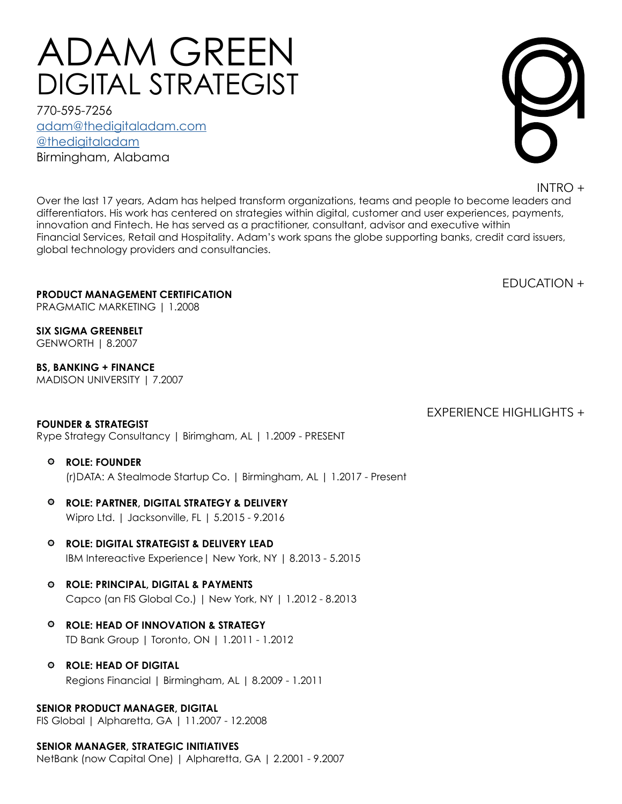# DIGITAL STRATEGIST ADAM GREEN

Birmingham, Alabama [adam@thedigitaladam.com](mailto:adam%40thedigitaladam.com%20?subject=Response%20to%20Resume) 770-595-7256 [@thedigitaladam](http://www.twitter.com/thedigitaladam)



INTRO +

Over the last 17 years, Adam has helped transform organizations, teams and people to become leaders and differentiators. His work has centered on strategies within digital, customer and user experiences, payments, innovation and Fintech. He has served as a practitioner, consultant, advisor and executive within Financial Services, Retail and Hospitality. Adam's work spans the globe supporting banks, credit card issuers, global technology providers and consultancies.

EDUCATION +

EXPERIENCE HIGHLIGHTS +

## **PRODUCT MANAGEMENT CERTIFICATION**

PRAGMATIC MARKETING | 1.2008

**SIX SIGMA GREENBELT** GENWORTH | 8.2007

**BS, BANKING + FINANCE**

MADISON UNIVERSITY | 7.2007

# **FOUNDER & STRATEGIST**

Rype Strategy Consultancy | Birimgham, AL | 1.2009 - PRESENT

#### **ROLE: FOUNDER**

(r)DATA: A Stealmode Startup Co. | Birmingham, AL | 1.2017 - Present

- Wipro Ltd. | Jacksonville, FL | 5.2015 9.2016 **ROLE: PARTNER, DIGITAL STRATEGY & DELIVERY**
- IBM Intereactive Experience| New York, NY | 8.2013 5.2015 **ROLE: DIGITAL STRATEGIST & DELIVERY LEAD**
- Capco (an FIS Global Co.) | New York, NY | 1.2012 8.2013 **ROLE: PRINCIPAL, DIGITAL & PAYMENTS**
- **ROLE: HEAD OF INNOVATION & STRATEGY** TD Bank Group | Toronto, ON | 1.2011 - 1.2012
- Regions Financial | Birmingham, AL | 8.2009 1.2011 **ROLE: HEAD OF DIGITAL**

**SENIOR PRODUCT MANAGER, DIGITAL** FIS Global | Alpharetta, GA | 11.2007 - 12.2008

# **SENIOR MANAGER, STRATEGIC INITIATIVES**

NetBank (now Capital One) | Alpharetta, GA | 2.2001 - 9.2007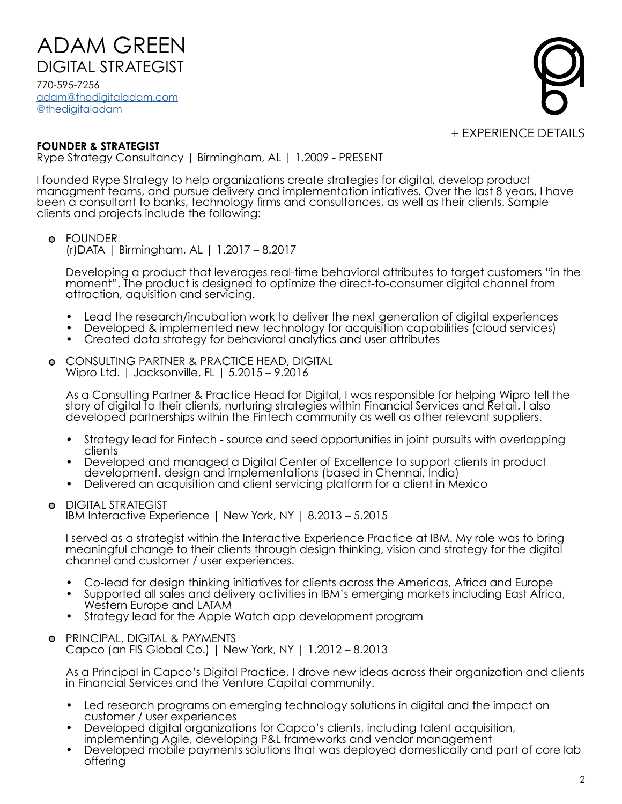770-595-7256 ADAM GREEN DIGITAL STRATEGIST

[adam@thedigitaladam.com](mailto:adam%40thedigitaladam.com%20?subject=Response%20to%20Resume) [@thedigitaladam](http://twitter.com/thedigitaladam)



#### **FOUNDER & STRATEGIST**

Rype Strategy Consultancy | Birmingham, AL | 1.2009 - PRESENT

I founded Rype Strategy to help organizations create strategies for digital, develop product managment teams, and pursue delivery and implementation intiatives. Over the last 8 years, I have been a consultant to banks, technology firms and consultances, as well as their clients. Sample clients and projects include the following:

## FOUNDER

(r)DATA | Birmingham, AL | 1.2017 – 8.2017

Developing a product that leverages real-time behavioral attributes to target customers "in the moment". The product is designed to optimize the direct-to-consumer digital channel from attraction, aquisition and servicing.

- 
- Lead the research/incubation work to deliver the next generation of digital experiences<br>• Developed & implemented new technology for acquisition capabilities (cloud services)<br>• Created data strategy for behavioral analyt
- 
- CONSULTING PARTNER & PRACTICE HEAD, DIGITAL Wipro Ltd. | Jacksonville, FL | 5.2015 – 9.2016

As a Consulting Partner & Practice Head for Digital, I was responsible for helping Wipro tell the story of digital to their clients, nurturing strategies within Financial Services and Retail. I also developed partnerships within the Fintech community as well as other relevant suppliers.

- Strategy lead for Fintech source and seed opportunities in joint pursuits with overlapping clients
- Developed and managed a Digital Center of Excellence to support clients in product development, design and implementations (based in Chennai, India)
- Delivered an acquisition and client servicing platform for a client in Mexico

#### DIGITAL STRATEGIST  $\bullet$

IBM Interactive Experience | New York, NY | 8.2013 – 5.2015

I served as a strategist within the Interactive Experience Practice at IBM. My role was to bring meaningful change to their clients through design thinking, vision and strategy for the digital channel and customer / user experiences.

- 
- Co-lead for design thinking initiatives for clients across the Americas, Africa and Europe Supported all sales and delivery activities in IBM's emerging markets including East Africa,
- Strategy lead for the Apple Watch app development program
- PRINCIPAL, DIGITAL & PAYMENTS

Capco (an FIS Global Co.) | New York, NY | 1.2012 – 8.2013

As a Principal in Capco's Digital Practice, I drove new ideas across their organization and clients in Financial Services and the Venture Capital community.

- Led research programs on emerging technology solutions in digital and the impact on customer / user experiences
- Developed digital organizations for Capco's clients, including talent acquisition, implementing Agile, developing P&L frameworks and vendor management
- Developed mobile payments solutions that was deployed domestically and part of core lab offering